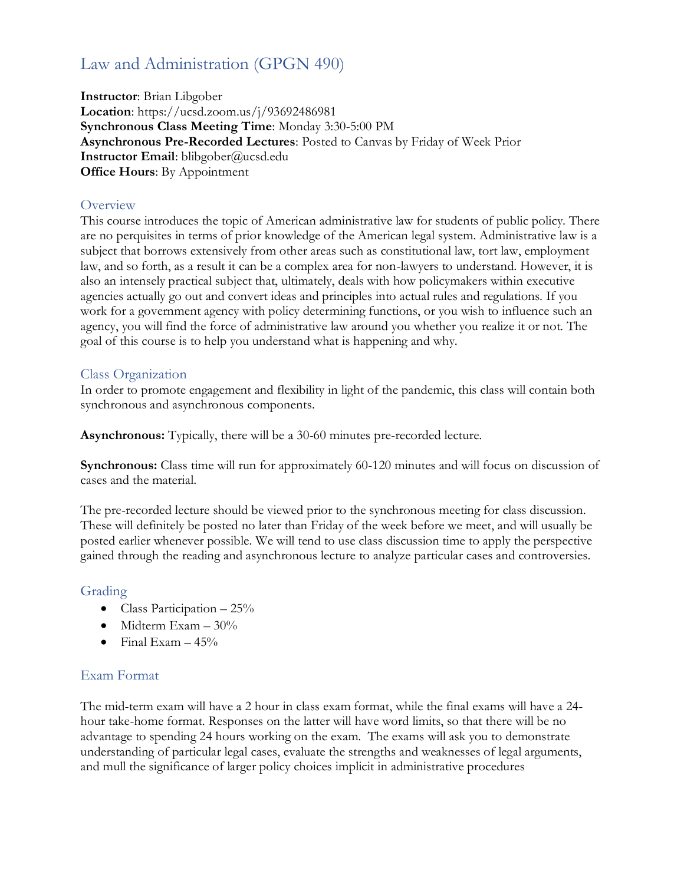# Law and Administration (GPGN 490)

**Instructor**: Brian Libgober **Location**: https://ucsd.zoom.us/j/93692486981 **Synchronous Class Meeting Time**: Monday 3:30-5:00 PM **Asynchronous Pre-Recorded Lectures**: Posted to Canvas by Friday of Week Prior **Instructor Email**: blibgober@ucsd.edu **Office Hours**: By Appointment

### **Overview**

This course introduces the topic of American administrative law for students of public policy. There are no perquisites in terms of prior knowledge of the American legal system. Administrative law is a subject that borrows extensively from other areas such as constitutional law, tort law, employment law, and so forth, as a result it can be a complex area for non-lawyers to understand. However, it is also an intensely practical subject that, ultimately, deals with how policymakers within executive agencies actually go out and convert ideas and principles into actual rules and regulations. If you work for a government agency with policy determining functions, or you wish to influence such an agency, you will find the force of administrative law around you whether you realize it or not. The goal of this course is to help you understand what is happening and why.

#### Class Organization

In order to promote engagement and flexibility in light of the pandemic, this class will contain both synchronous and asynchronous components.

**Asynchronous:** Typically, there will be a 30-60 minutes pre-recorded lecture.

**Synchronous:** Class time will run for approximately 60-120 minutes and will focus on discussion of cases and the material.

The pre-recorded lecture should be viewed prior to the synchronous meeting for class discussion. These will definitely be posted no later than Friday of the week before we meet, and will usually be posted earlier whenever possible. We will tend to use class discussion time to apply the perspective gained through the reading and asynchronous lecture to analyze particular cases and controversies.

# Grading

- Class Participation  $-25\%$
- Midterm Exam 30%
- Final Exam  $-45%$

#### Exam Format

The mid-term exam will have a 2 hour in class exam format, while the final exams will have a 24 hour take-home format. Responses on the latter will have word limits, so that there will be no advantage to spending 24 hours working on the exam. The exams will ask you to demonstrate understanding of particular legal cases, evaluate the strengths and weaknesses of legal arguments, and mull the significance of larger policy choices implicit in administrative procedures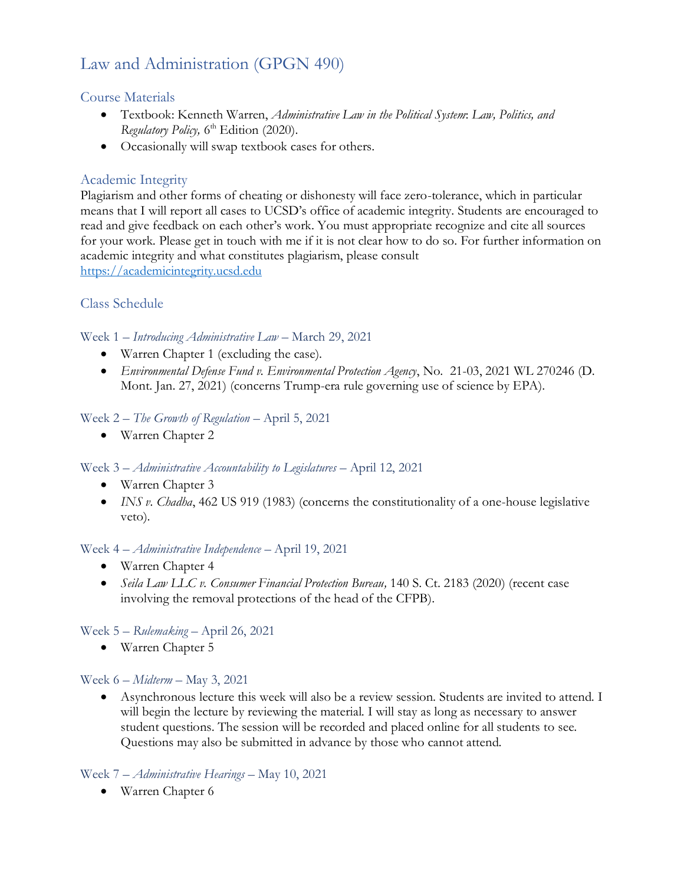# Law and Administration (GPGN 490)

# Course Materials

- Textbook: Kenneth Warren, *Administrative Law in the Political System*: *Law, Politics, and*  Regulatory Policy, 6<sup>th</sup> Edition (2020).
- Occasionally will swap textbook cases for others.

# Academic Integrity

Plagiarism and other forms of cheating or dishonesty will face zero-tolerance, which in particular means that I will report all cases to UCSD's office of academic integrity. Students are encouraged to read and give feedback on each other's work. You must appropriate recognize and cite all sources for your work. Please get in touch with me if it is not clear how to do so. For further information on academic integrity and what constitutes plagiarism, please consult [https://academicintegrity.ucsd.edu](https://academicintegrity.ucsd.edu/)

# Class Schedule

Week 1 – *Introducing Administrative Law* – March 29, 2021

- Warren Chapter 1 (excluding the case).
- *Environmental Defense Fund v. Environmental Protection Agency*, No. 21-03, 2021 WL 270246 (D. Mont. Jan. 27, 2021) (concerns Trump-era rule governing use of science by EPA).

# Week 2 – *The Growth of Regulation* – April 5, 2021

• Warren Chapter 2

# Week 3 – *Administrative Accountability to Legislatures* – April 12, 2021

- Warren Chapter 3
- *INS v. Chadha*, 462 US 919 (1983) (concerns the constitutionality of a one-house legislative veto).

# Week 4 – *Administrative Independence* – April 19, 2021

- Warren Chapter 4
- *Seila Law LLC v. Consumer Financial Protection Bureau,* 140 S. Ct. 2183 (2020) (recent case involving the removal protections of the head of the CFPB).

# Week 5 – *Rulemaking* – April 26, 2021

• Warren Chapter 5

#### Week 6 – *Midterm* – May 3, 2021

• Asynchronous lecture this week will also be a review session. Students are invited to attend. I will begin the lecture by reviewing the material. I will stay as long as necessary to answer student questions. The session will be recorded and placed online for all students to see. Questions may also be submitted in advance by those who cannot attend.

# Week 7 – *Administrative Hearings* – May 10, 2021

• Warren Chapter 6